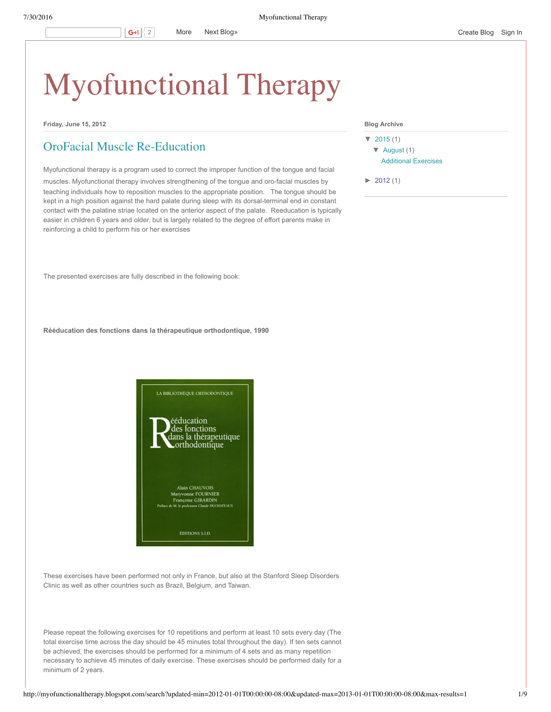# [Myofunctional](http://myofunctionaltherapy.blogspot.com/) Therapy

**Friday, June 15, 2012**

## OroFacial Muscle [Re-Education](http://myofunctionaltherapy.blogspot.com/2012/06/orofacial-muscle-re-education.html)

Myofunctional therapy is a program used to correct the improper function of the tongue and facial

muscles. Myofunctional therapy involves strengthening of the tongue and oro-facial muscles by teaching individuals how to reposition muscles to the appropriate position. The tongue should be kept in a high position against the hard palate during sleep with its dorsal-terminal end in constant contact with the palatine striae located on the anterior aspect of the palate. Reeducation is typically easier in children 6 years and older, but is largely related to the degree of effort parents make in reinforcing a child to perform his or her exercises

The presented exercises are fully described in the following book:

**Rééducation des fonctions dans la thérapeutique orthodontique, 1990**



These exercises have been performed not only in France, but also at the Stanford Sleep Disorders Clinic as well as other countries such as Brazil, Belgium, and Taiwan.

Please repeat the following exercises for 10 repetitions and perform at least 10 sets every day (The total exercise time across the day should be 45 minutes total throughout the day). If ten sets cannot be achieved, the exercises should be performed for a minimum of 4 sets and as many repetition necessary to achieve 45 minutes of daily exercise. These exercises should be performed daily for a minimum of 2 years.

### **Blog Archive**

[▼](javascript:void(0)) [2015](http://myofunctionaltherapy.blogspot.com/search?updated-min=2015-01-01T00:00:00-08:00&updated-max=2016-01-01T00:00:00-08:00&max-results=1) (1) [▼](javascript:void(0)) [August](http://myofunctionaltherapy.blogspot.com/2015_08_01_archive.html) (1) [Additional](http://myofunctionaltherapy.blogspot.com/2015/08/additional-exercises.html) Exercises

 $\blacktriangleright$  [2012](http://myofunctionaltherapy.blogspot.com/search?updated-min=2012-01-01T00:00:00-08:00&updated-max=2013-01-01T00:00:00-08:00&max-results=1) (1)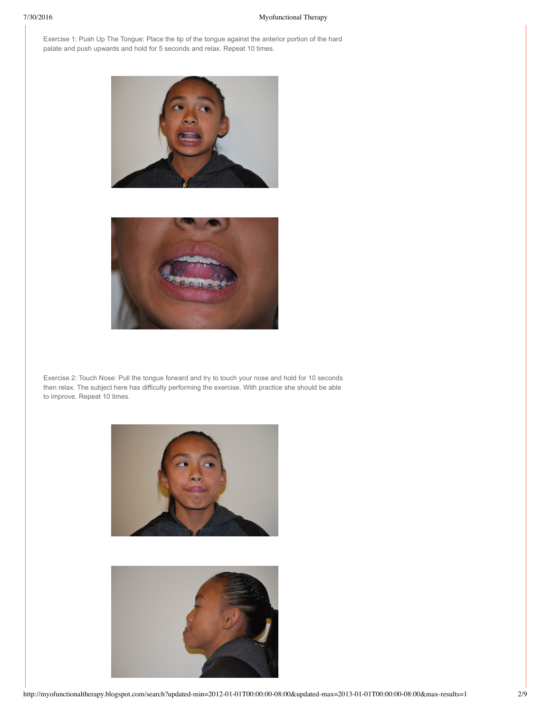Exercise 1: Push Up The Tongue: Place the tip of the tongue against the anterior portion of the hard palate and push upwards and hold for 5 seconds and relax. Repeat 10 times.





Exercise 2: Touch Nose: Pull the tongue forward and try to touch your nose and hold for 10 seconds then relax. The subject here has difficulty performing the exercise. With practice she should be able to improve. Repeat 10 times.



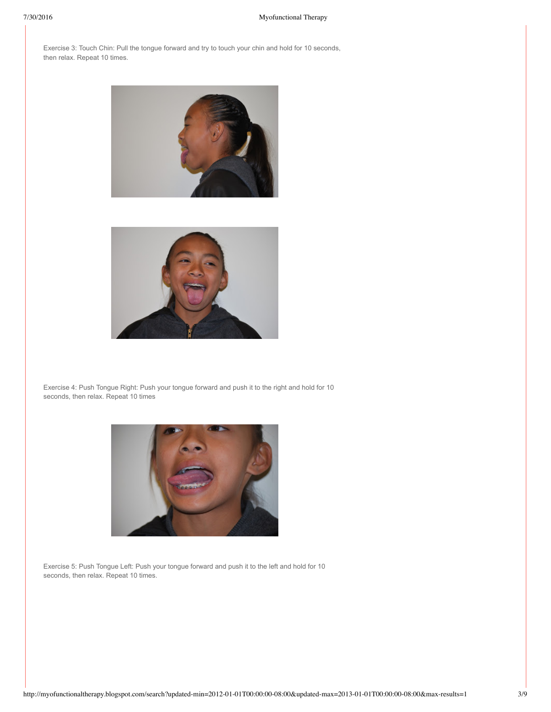Exercise 3: Touch Chin: Pull the tongue forward and try to touch your chin and hold for 10 seconds, then relax. Repeat 10 times.





Exercise 4: Push Tongue Right: Push your tongue forward and push it to the right and hold for 10 seconds, then relax. Repeat 10 times



Exercise 5: Push Tongue Left: Push your tongue forward and push it to the left and hold for 10 seconds, then relax. Repeat 10 times.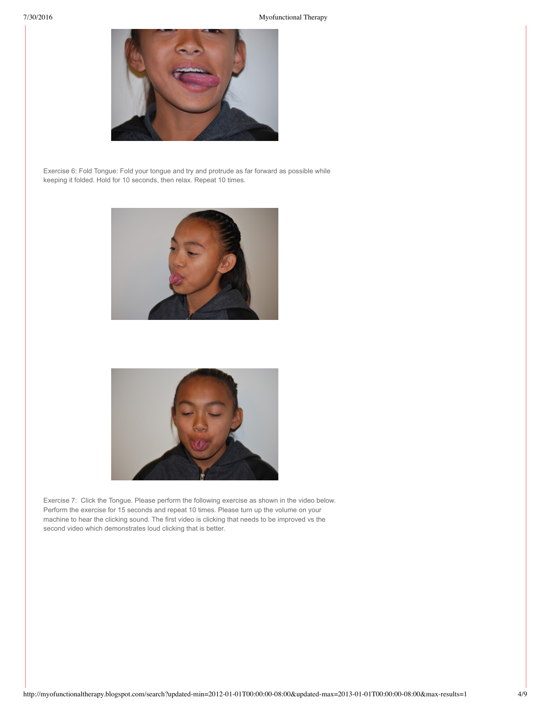

Exercise 6: Fold Tongue: Fold your tongue and try and protrude as far forward as possible while keeping it folded. Hold for 10 seconds, then relax. Repeat 10 times.





Exercise 7: Click the Tongue. Please perform the following exercise as shown in the video below. Perform the exercise for 15 seconds and repeat 10 times. Please turn up the volume on your machine to hear the clicking sound. The first video is clicking that needs to be improved vs the second video which demonstrates loud clicking that is better.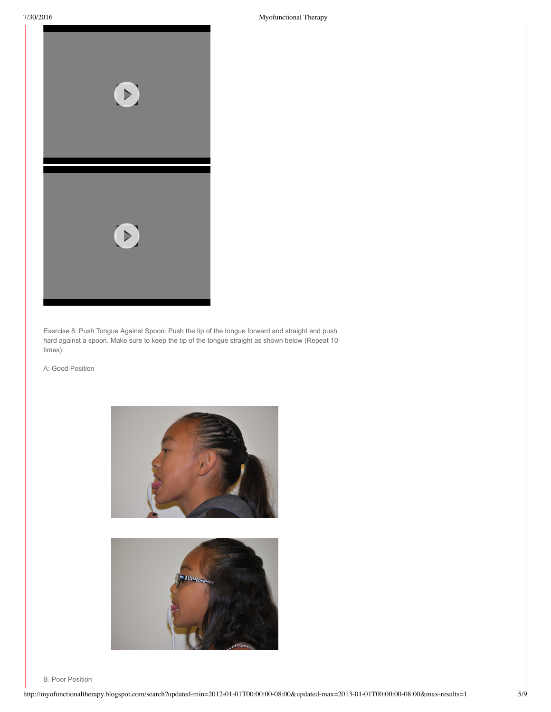

Exercise 8: Push Tongue Against Spoon: Push the tip of the tongue forward and straight and push hard against a spoon. Make sure to keep the tip of the tongue straight as shown below (Repeat 10 times):

A: Good Position





B. Poor Position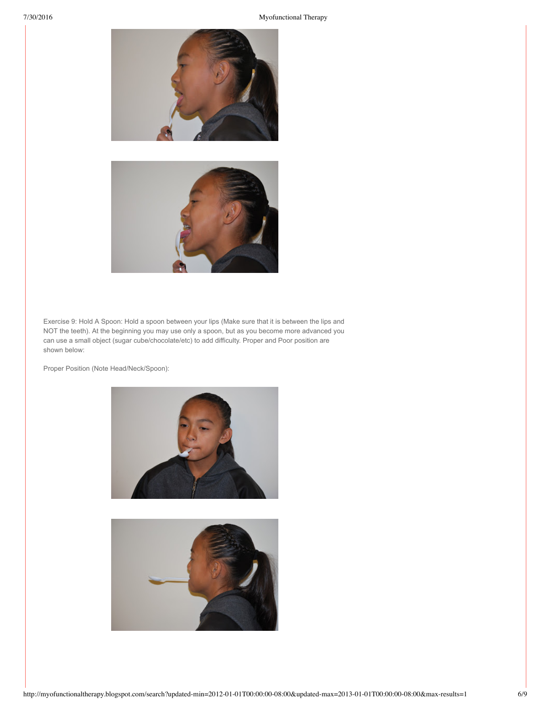



Exercise 9: Hold A Spoon: Hold a spoon between your lips (Make sure that it is between the lips and NOT the teeth). At the beginning you may use only a spoon, but as you become more advanced you can use a small object (sugar cube/chocolate/etc) to add difficulty. Proper and Poor position are shown below:

Proper Position (Note Head/Neck/Spoon):



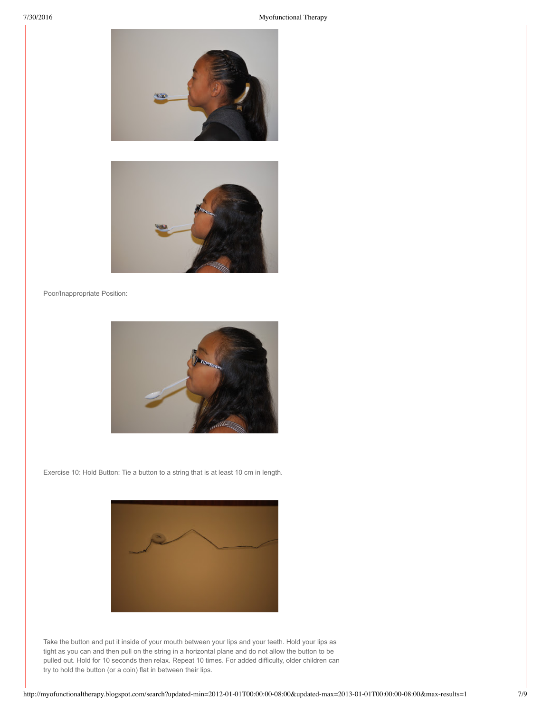



Poor/Inappropriate Position:



Exercise 10: Hold Button: Tie a button to a string that is at least 10 cm in length.



Take the button and put it inside of your mouth between your lips and your teeth. Hold your lips as tight as you can and then pull on the string in a horizontal plane and do not allow the button to be pulled out. Hold for 10 seconds then relax. Repeat 10 times. For added difficulty, older children can try to hold the button (or a coin) flat in between their lips.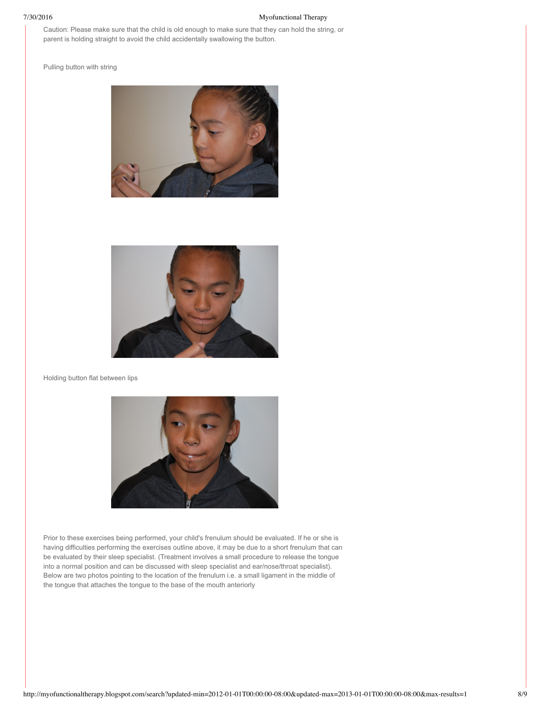Caution: Please make sure that the child is old enough to make sure that they can hold the string, or parent is holding straight to avoid the child accidentally swallowing the button.

Pulling button with string





Holding button flat between lips



Prior to these exercises being performed, your child's frenulum should be evaluated. If he or she is having difficulties performing the exercises outline above, it may be due to a short frenulum that can be evaluated by their sleep specialist. (Treatment involves a small procedure to release the tongue into a normal position and can be discussed with sleep specialist and ear/nose/throat specialist). Below are two photos pointing to the location of the frenulum i.e. a small ligament in the middle of the tongue that attaches the tongue to the base of the mouth anteriorly